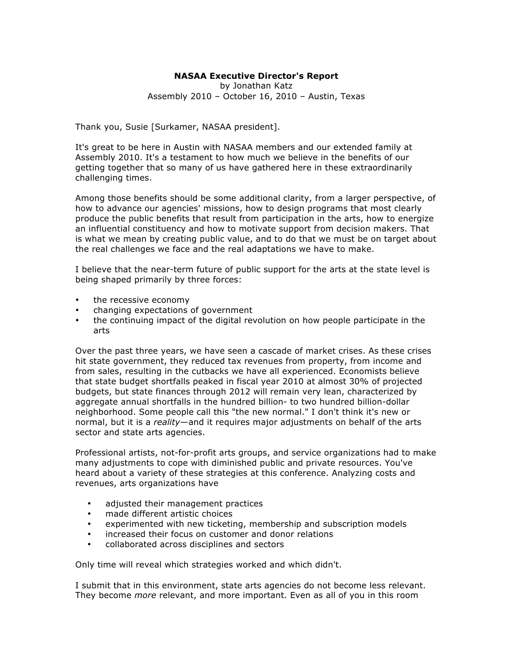## **NASAA Executive Director's Report**

## by Jonathan Katz Assembly 2010 – October 16, 2010 – Austin, Texas

Thank you, Susie [Surkamer, NASAA president].

It's great to be here in Austin with NASAA members and our extended family at Assembly 2010. It's a testament to how much we believe in the benefits of our getting together that so many of us have gathered here in these extraordinarily challenging times.

Among those benefits should be some additional clarity, from a larger perspective, of how to advance our agencies' missions, how to design programs that most clearly produce the public benefits that result from participation in the arts, how to energize an influential constituency and how to motivate support from decision makers. That is what we mean by creating public value, and to do that we must be on target about the real challenges we face and the real adaptations we have to make.

I believe that the near-term future of public support for the arts at the state level is being shaped primarily by three forces:

- the recessive economy
- changing expectations of government
- the continuing impact of the digital revolution on how people participate in the arts

Over the past three years, we have seen a cascade of market crises. As these crises hit state government, they reduced tax revenues from property, from income and from sales, resulting in the cutbacks we have all experienced. Economists believe that state budget shortfalls peaked in fiscal year 2010 at almost 30% of projected budgets, but state finances through 2012 will remain very lean, characterized by aggregate annual shortfalls in the hundred billion- to two hundred billion-dollar neighborhood. Some people call this "the new normal." I don't think it's new or normal, but it is a *reality*—and it requires major adjustments on behalf of the arts sector and state arts agencies.

Professional artists, not-for-profit arts groups, and service organizations had to make many adjustments to cope with diminished public and private resources. You've heard about a variety of these strategies at this conference. Analyzing costs and revenues, arts organizations have

- adjusted their management practices
- made different artistic choices
- experimented with new ticketing, membership and subscription models
- increased their focus on customer and donor relations
- collaborated across disciplines and sectors

Only time will reveal which strategies worked and which didn't.

I submit that in this environment, state arts agencies do not become less relevant. They become *more* relevant, and more important. Even as all of you in this room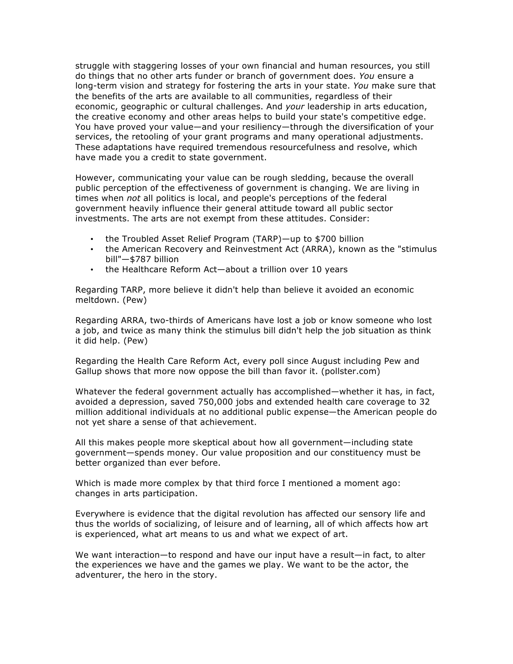struggle with staggering losses of your own financial and human resources, you still do things that no other arts funder or branch of government does. *You* ensure a long-term vision and strategy for fostering the arts in your state. *You* make sure that the benefits of the arts are available to all communities, regardless of their economic, geographic or cultural challenges. And *your* leadership in arts education, the creative economy and other areas helps to build your state's competitive edge. You have proved your value—and your resiliency—through the diversification of your services, the retooling of your grant programs and many operational adjustments. These adaptations have required tremendous resourcefulness and resolve, which have made you a credit to state government.

However, communicating your value can be rough sledding, because the overall public perception of the effectiveness of government is changing. We are living in times when *not* all politics is local, and people's perceptions of the federal government heavily influence their general attitude toward all public sector investments. The arts are not exempt from these attitudes. Consider:

- the Troubled Asset Relief Program (TARP)—up to \$700 billion
- the American Recovery and Reinvestment Act (ARRA), known as the "stimulus bill"—\$787 billion
- the Healthcare Reform Act—about a trillion over 10 years

Regarding TARP, more believe it didn't help than believe it avoided an economic meltdown. (Pew)

Regarding ARRA, two-thirds of Americans have lost a job or know someone who lost a job, and twice as many think the stimulus bill didn't help the job situation as think it did help. (Pew)

Regarding the Health Care Reform Act, every poll since August including Pew and Gallup shows that more now oppose the bill than favor it. (pollster.com)

Whatever the federal government actually has accomplished—whether it has, in fact, avoided a depression, saved 750,000 jobs and extended health care coverage to 32 million additional individuals at no additional public expense—the American people do not yet share a sense of that achievement.

All this makes people more skeptical about how all government—including state government—spends money. Our value proposition and our constituency must be better organized than ever before.

Which is made more complex by that third force I mentioned a moment ago: changes in arts participation.

Everywhere is evidence that the digital revolution has affected our sensory life and thus the worlds of socializing, of leisure and of learning, all of which affects how art is experienced, what art means to us and what we expect of art.

We want interaction—to respond and have our input have a result—in fact, to alter the experiences we have and the games we play. We want to be the actor, the adventurer, the hero in the story.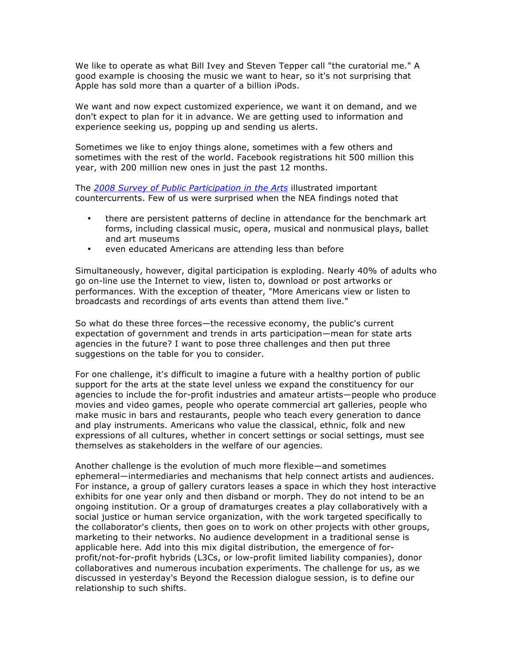We like to operate as what Bill Ivey and Steven Tepper call "the curatorial me." A good example is choosing the music we want to hear, so it's not surprising that Apple has sold more than a quarter of a billion iPods.

We want and now expect customized experience, we want it on demand, and we don't expect to plan for it in advance. We are getting used to information and experience seeking us, popping up and sending us alerts.

Sometimes we like to enjoy things alone, sometimes with a few others and sometimes with the rest of the world. Facebook registrations hit 500 million this year, with 200 million new ones in just the past 12 months.

The *2008 [Survey of Public Participation in the Arts](http://www.nea.gov/research/2008-SPPA.pdf)* illustrated important countercurrents. Few of us were surprised when the NEA findings noted that

- there are persistent patterns of decline in attendance for the benchmark art forms, including classical music, opera, musical and nonmusical plays, ballet and art museums
- even educated Americans are attending less than before

Simultaneously, however, digital participation is exploding. Nearly 40% of adults who go on-line use the Internet to view, listen to, download or post artworks or performances. With the exception of theater, "More Americans view or listen to broadcasts and recordings of arts events than attend them live."

So what do these three forces—the recessive economy, the public's current expectation of government and trends in arts participation—mean for state arts agencies in the future? I want to pose three challenges and then put three suggestions on the table for you to consider.

For one challenge, it's difficult to imagine a future with a healthy portion of public support for the arts at the state level unless we expand the constituency for our agencies to include the for-profit industries and amateur artists—people who produce movies and video games, people who operate commercial art galleries, people who make music in bars and restaurants, people who teach every generation to dance and play instruments. Americans who value the classical, ethnic, folk and new expressions of all cultures, whether in concert settings or social settings, must see themselves as stakeholders in the welfare of our agencies.

Another challenge is the evolution of much more flexible—and sometimes ephemeral—intermediaries and mechanisms that help connect artists and audiences. For instance, a group of gallery curators leases a space in which they host interactive exhibits for one year only and then disband or morph. They do not intend to be an ongoing institution. Or a group of dramaturges creates a play collaboratively with a social justice or human service organization, with the work targeted specifically to the collaborator's clients, then goes on to work on other projects with other groups, marketing to their networks. No audience development in a traditional sense is applicable here. Add into this mix digital distribution, the emergence of forprofit/not-for-profit hybrids (L3Cs, or low-profit limited liability companies), donor collaboratives and numerous incubation experiments. The challenge for us, as we discussed in yesterday's Beyond the Recession dialogue session, is to define our relationship to such shifts.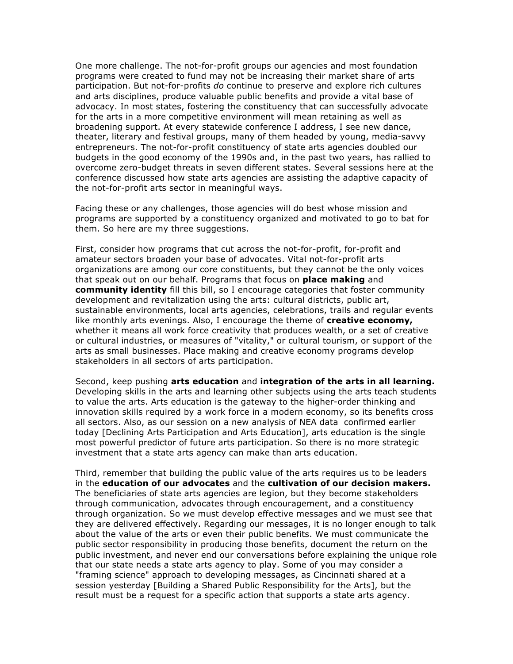One more challenge. The not-for-profit groups our agencies and most foundation programs were created to fund may not be increasing their market share of arts participation. But not-for-profits *do* continue to preserve and explore rich cultures and arts disciplines, produce valuable public benefits and provide a vital base of advocacy. In most states, fostering the constituency that can successfully advocate for the arts in a more competitive environment will mean retaining as well as broadening support. At every statewide conference I address, I see new dance, theater, literary and festival groups, many of them headed by young, media-savvy entrepreneurs. The not-for-profit constituency of state arts agencies doubled our budgets in the good economy of the 1990s and, in the past two years, has rallied to overcome zero-budget threats in seven different states. Several sessions here at the conference discussed how state arts agencies are assisting the adaptive capacity of the not-for-profit arts sector in meaningful ways.

Facing these or any challenges, those agencies will do best whose mission and programs are supported by a constituency organized and motivated to go to bat for them. So here are my three suggestions.

First, consider how programs that cut across the not-for-profit, for-profit and amateur sectors broaden your base of advocates. Vital not-for-profit arts organizations are among our core constituents, but they cannot be the only voices that speak out on our behalf. Programs that focus on **place making** and **community identity** fill this bill, so I encourage categories that foster community development and revitalization using the arts: cultural districts, public art, sustainable environments, local arts agencies, celebrations, trails and regular events like monthly arts evenings. Also, I encourage the theme of **creative economy,** whether it means all work force creativity that produces wealth, or a set of creative or cultural industries, or measures of "vitality," or cultural tourism, or support of the arts as small businesses. Place making and creative economy programs develop stakeholders in all sectors of arts participation.

Second, keep pushing **arts education** and **integration of the arts in all learning.** Developing skills in the arts and learning other subjects using the arts teach students to value the arts. Arts education is the gateway to the higher-order thinking and innovation skills required by a work force in a modern economy, so its benefits cross all sectors. Also, as our session on a new analysis of NEA data confirmed earlier today [Declining Arts Participation and Arts Education], arts education is the single most powerful predictor of future arts participation. So there is no more strategic investment that a state arts agency can make than arts education.

Third, remember that building the public value of the arts requires us to be leaders in the **education of our advocates** and the **cultivation of our decision makers.** The beneficiaries of state arts agencies are legion, but they become stakeholders through communication, advocates through encouragement, and a constituency through organization. So we must develop effective messages and we must see that they are delivered effectively. Regarding our messages, it is no longer enough to talk about the value of the arts or even their public benefits. We must communicate the public sector responsibility in producing those benefits, document the return on the public investment, and never end our conversations before explaining the unique role that our state needs a state arts agency to play. Some of you may consider a "framing science" approach to developing messages, as Cincinnati shared at a session yesterday [Building a Shared Public Responsibility for the Arts], but the result must be a request for a specific action that supports a state arts agency.